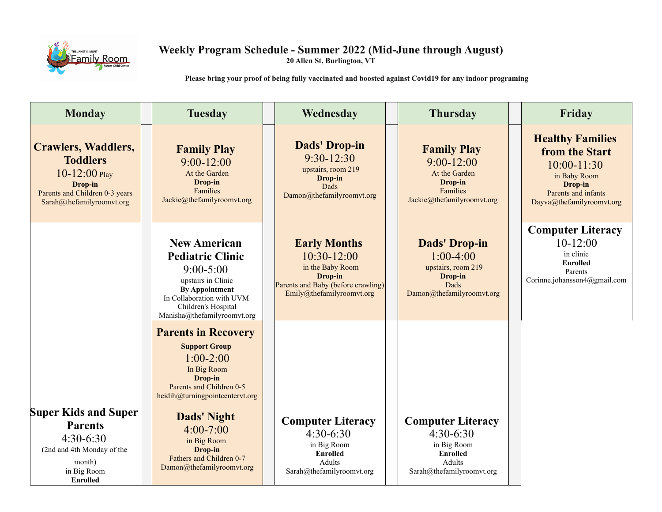

## **Weekly Program Schedule - Summer 2022 (Mid-June through August) 20 Allen St, Burlington, VT**

 **Please bring your proof of being fully vaccinated and boosted against Covid19 for any indoor programing**

| <b>Monday</b>                                                                                                                                | <b>Tuesday</b>                                                                                                                                                                                                                                                                       | Wednesday                                                                                                                              | <b>Thursday</b>                                                                                                  | Friday                                                                                                                                      |
|----------------------------------------------------------------------------------------------------------------------------------------------|--------------------------------------------------------------------------------------------------------------------------------------------------------------------------------------------------------------------------------------------------------------------------------------|----------------------------------------------------------------------------------------------------------------------------------------|------------------------------------------------------------------------------------------------------------------|---------------------------------------------------------------------------------------------------------------------------------------------|
| <b>Crawlers, Waddlers,</b><br><b>Toddlers</b><br>$10 - 12:00$ Play<br>Drop-in<br>Parents and Children 0-3 years<br>Sarah@thefamilyroomvt.org | <b>Family Play</b><br>$9:00 - 12:00$<br>At the Garden<br>Drop-in<br>Families<br>Jackie@thefamilyroomvt.org                                                                                                                                                                           | <b>Dads' Drop-in</b><br>$9:30-12:30$<br>upstairs, room 219<br>Drop-in<br>Dads<br>Damon@thefamilyroomvt.org                             | <b>Family Play</b><br>$9:00 - 12:00$<br>At the Garden<br>Drop-in<br>Families<br>Jackie@thefamilyroomvt.org       | <b>Healthy Families</b><br>from the Start<br>$10:00 - 11:30$<br>in Baby Room<br>Drop-in<br>Parents and infants<br>Dayva@thefamilyroomvt.org |
|                                                                                                                                              | <b>New American</b><br><b>Pediatric Clinic</b><br>$9:00 - 5:00$<br>upstairs in Clinic<br><b>By Appointment</b><br>In Collaboration with UVM<br>Children's Hospital<br>Manisha@thefamilyroomvt.org                                                                                    | <b>Early Months</b><br>$10:30-12:00$<br>in the Baby Room<br>Drop-in<br>Parents and Baby (before crawling)<br>Emily@thefamilyroomvt.org | <b>Dads' Drop-in</b><br>$1:00-4:00$<br>upstairs, room 219<br>Drop-in<br>Dads<br>Damon@thefamilyroomvt.org        | <b>Computer Literacy</b><br>$10-12:00$<br>in clinic<br><b>Enrolled</b><br><b>Parents</b><br>Corinne.johansson4@gmail.com                    |
| <b>Super Kids and Super</b><br><b>Parents</b><br>$4:30-6:30$<br>(2nd and 4th Monday of the<br>month)<br>in Big Room<br><b>Enrolled</b>       | <b>Parents in Recovery</b><br><b>Support Group</b><br>$1:00-2:00$<br>In Big Room<br>Drop-in<br>Parents and Children 0-5<br>heidih@turningpointcentervt.org<br><b>Dads' Night</b><br>$4:00 - 7:00$<br>in Big Room<br>Drop-in<br>Fathers and Children 0-7<br>Damon@thefamilyroomvt.org | <b>Computer Literacy</b><br>$4:30-6:30$<br>in Big Room<br><b>Enrolled</b><br>Adults<br>Sarah@thefamilyroomvt.org                       | <b>Computer Literacy</b><br>$4:30-6:30$<br>in Big Room<br><b>Enrolled</b><br>Adults<br>Sarah@thefamilyroomvt.org |                                                                                                                                             |